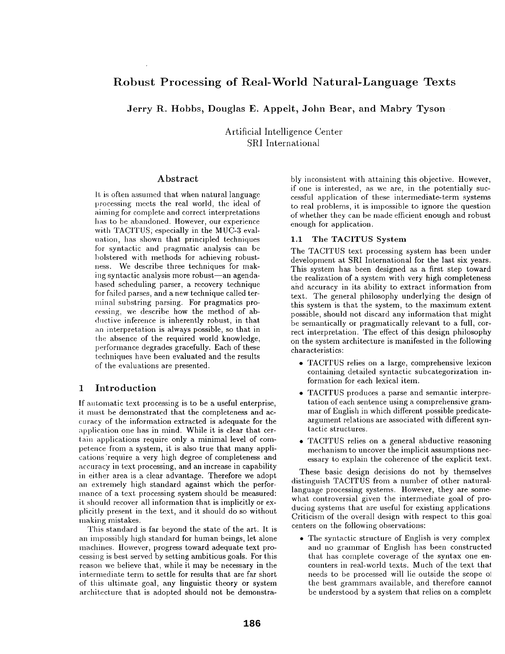# **Robust Processing of Real-World Natural-Language Texts**

Jerry R. Hobbs, Douglas E. Appelt, John Bear, and Mabry Tyson

Artificial Intelligence Center SRI International

#### Abstract

It is often assumed that when natural language processing meets the real world, the ideal of aiming for complete and correct interpretations has to be abandoned. However, our experience with TACITUS; especially in the MUC-3 evaluation, has shown that. principled techniques for syntactic and pragmatic analysis can be bolstered with methods for achieving robustness. We describe three techniques for making syntactic analysis more robust—an agendabased scheduling parser, a recovery technique for failed parses, and a new technique called terminal substring parsing. For pragmatics processing, we describe how the method of abductive inference is inherently robust, in that an interpretation is always possible, so that in the absence of the required world knowledge, performance degrades gracefully. Each of these techniques have been evaluated and the results of the evaluations are presented.

# 1 Introduction

If automatic text processing is to be a useful enterprise, it must be demonstrated that the completeness and accuracy of the information extracted is adequate for the application one has in mind. While it is clear that certain applications require only a minimal level of competence from a system, it is also true that many applications require a very high degree of completeness and accuracy in text processing, and an increase in capability in either area is a clear advantage. Therefore we adopt an extremely high standard against which the performance of a text processing system should be measured: it should recover all information that is implicitly or explicitly present in the text, and it should do so without making mistakes.

This standard is far beyond the state of the art. It is an impossibly high standard for human beings, let alone machines. However, progress toward adequate text processing is best. served by setting ambitious goals. For this reason we believe that, while it may be necessary in the intermediate term to settle for results that are far short of this ultimate goal, any linguistic theory or system architecture that is adopted should not be demonstrably inconsistent with attaining this objective. However, if one is interested, as we are, in the potentially successful application of these intermediate-term systems to real problems, it is impossible to ignore the question of whether they can be made efficient enough and robust enough for application.

#### 1.1 The TACITUS System

The TACITUS text processing system has been under development at SRI International for the last six years. This system has been designed as a first step toward the realization of a system with very high completeness and accuracy in its ability to extract information from text. The general philosophy underlying the design of this system is that the system, to the maximum extent possible, should not discard any information that might be semantically or pragmatically relevant to a full, correct interpretation. The effect of this design philosophy on the system architecture is manifested in the following characteristics:

- \* TACITUS relies on a large, comprehensive lexicon containing detailed syntactic subcategorization information for each lexical item.
- . TACITUS produces a parse and semantic interpretation of each sentence using a comprehensive grammar of English in which different possible predicateargument relations are associated with different syntactic structures.
- TACITUS relies on a general abductive reasoning mechanism to uncover the implicit assumptions necessary to explain the coherence of the explicit text.

These basic design decisions do not by themselves distinguish TACITUS from a number of other naturallanguage processing systems. However, they are somewhat controversial given the intermediate goal of producing systems that are useful for existing applications Criticism of the overall design with respect to this goal centers on the following observations:

• The syntactic structure of English is very complex and no grammar of English has been constructed that has complete coverage of the syntax one encounters in real-world texts. Much of the text thai needs to be processed will lie outside the scope ol the best grammars available, and therefore cannot be understood by a system that relies on a complete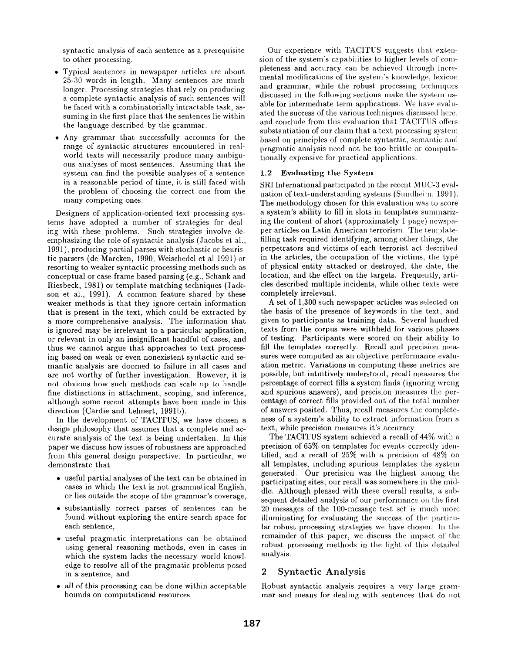syntactic analysis of each sentence as a prerequisite to other processing.

- Typical sentences in newspaper articles are about 25-30 words in length. Many sentences are much longer. Processing strategies that rely on producing a complete syntactic analysis of such sentences will be faced with a combinatorially intractable task, assuming in the first place that the sentences lie within the language described by the grammar.
- Any grammar that successfully accounts for the range of syntactic structures encountered in realworld texts will necessarily produce many ambiguous analyses of most sentences. Assuming that the system can find the possible analyses of a sentence in a reasonable period of time, it is still faced with the problem of choosing the correct one from the many competing ones.

Designers of application-oriented text processing systems have adopted a number of strategies for dealing with these problems. Such strategies involve deemphasizing the role of syntactic analysis (Jacobs et al., 1991), producing partial parses with stochastic or heuristic parsers (de Marcken, 1990; Weischedel et al 1991) or resorting to weaker syntactic processing methods such as conceptual or case-frame based parsing (e.g., Schank and Riesbeck, 1981) or template matching techniques (Jackson et al., 1991). A common feature shared by these weaker methods is that they ignore certain information that is present in the text, which could be extracted by a more comprehensive analysis. The information that is ignored may be irrelevant to a particular application, or relevant in only an insignificant handful of cases, and thus we cannot argue that approaches to text processing based on weak or even nonexistent syntactic and semantic analysis are doomed to failure in all cases and are not worthy of further investigation. However, it is not obvious how such methods can scale up to handle fine distinctions in attachment, scoping, and inference, although some recent attempts have been made in this direction (Cardie and Lehnert, 1991b).

In the development of TACITUS, we have chosen a design philosophy that assumes that a complete and accurate analysis of the text is being undertaken. In this paper we discuss how issues of robustness are approached from this general design perspective. In particular, we demonstrate that

- useful partial analyses of the text can be obtained in cases in which the text is not grammatical English, or lies outside the scope of the grammar's coverage,
- substantially correct parses of sentences can be found without exploring the entire search space for each sentence,
- useful pragmatic interpretations can be obtained using general reasoning methods, even in cases in which the system lacks the necessary world knowledge to resolve all of the pragmatic problems posed in a sentence, and
- all of this processing can be done within acceptable bounds on computational resources.

Our experience with TACITUS suggests that extension of the system's capabilities to higher levels of completeness and accuracy can be achieved through incremental modifications of the system's knowledge, lexicon and grammar, while the robust processing techniques discussed in the following sections make the system usable for intermediate term applications. We have evaluated the success of the various techniques discussed here, and conclude from this evaluation that TACITUS offers substantiation of our claim that a text processing system based on principles of complete syntactic, semantic and pragmatic analysis need not. be too brittle or computationally expensive for practical applications.

#### 1.2 Evaluating the System

SRI International participated in the recent MUC-3 evaluation of text-understanding systems (Sundheim, 1991). The methodology chosen for this evaluation was to score a system's ability to fill in slots in templates summarizing the content of short (approximately 1 page) newspaper articles on Latin American terrorism. The templatefilling task required identifying, among other things, the perpetrators and victims of each terrorist act described in the articles, the occupation of the victims, the type of physical entity attacked or destroyed, the date, tile location, and the effect on the targets. Frequently, articles described multiple incidents, while other texts were completely irrelevant.

A set of 1,300 such newspaper articles was selected on the basis of the presence of keywords in the text, and given to participants as training data. Several hundred texts from the corpus were withheld for various phases of testing. Participants were scored on their ability to fill the templates correctly. Recall and precision measures were computed as an objective performance evaluation metric. Variations in computing these metrics are possible, but intuitively understood, recall measures the percentage of correct fills a system finds (ignoring wrong and spurious answers), and precision measures the percentage of correct fills provided out of the total number of answers posited. Thus, recall measures the completeness of a system's ability to extract information from a text, while precision measures it's accuracy.

The TACITUS system achieved a recall of 44% with a precision of 65% on templates for events correctly identiffed, and a recall of 25% with a precision of 48% on all templates, including spurious templates the system generated. Our precision was the highest among the participating sites; our recall was somewhere in the middle. Although pleased with these overall results, a subsequent detailed analysis of our performance on the first 20 messages of the 100-message test set is much more illuminating for evaluating the success of the particulax robust processing strategies we have chosen. In the remainder of this paper, we discuss the impact of the robust processing methods in the light of this detailed analysis.

## 2 Syntactic Analysis

Robust syntactic analysis requires a very large grammar and means for dealing with sentences that do not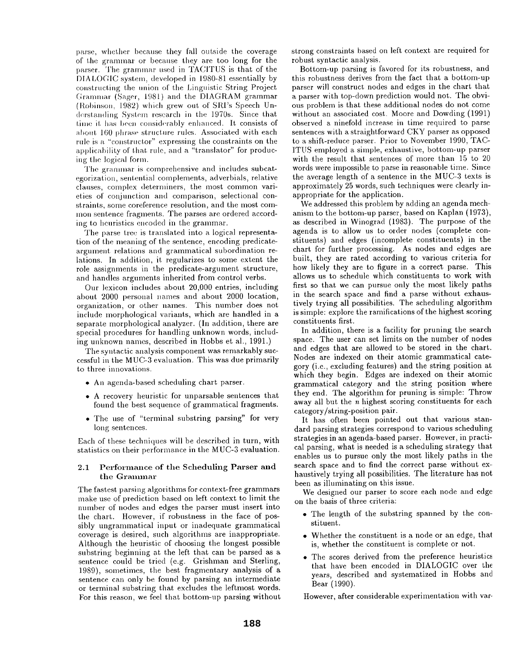parse, whether because they fall outside the coverage of the grammar or because they are too long for the parser. The grammar used in TACITUS is that of the DIALOGIC system, developed in 1980-81 essentially by constructing the union of the Linguistic String Project Grammar (Sager, 1981) and the DIAGRAM grammar (Robinson, 1982) which grew out of SRI's Speech Un derstanding System research in the 1970s. Since that time it has been considerably enhanced. It consists of about 160 phrase structure rules. Associated with each rule is a "constructor" expressing the constraints on the applicability of that rule, and a "translator" for producing the logical form.

The grammar is comprehensive and includes subcategorization, sentential complements, adverbials, relative clauses, complex determiners, the most common varieties of conjnnction and comparisou, selectional constraints, some coreference resolution, and the most common sentence fragments. The parses are ordered according to heuristics encoded in the grammar.

The parse tree is translated into a logical representation of the meaning of the sentence, encoding predicateargument relations and grammatical subordination relations. In addition, it regularizes to some extent the role assignments in the predicate-argument structure, and handles arguments inherited from control verbs.

Our lexicon includes about 20,000 entries, including about 2000 personal names and about 2000 location, organization, or other names. This number does not include morphological variants, which are handled in a separate morphological analyzer. (In addition, there are special procedures for handling unknown words, including unknown names, described in Hobbs et al., 1991.)

The syntactic analysis component was remarkably successful in the MUC-3 evaluation. This was due primarily to three innovations.

- An agenda-based scheduling chart parser.
- A recovery heuristic for unparsable sentences that found the best sequence of grammatical fragments.
- The use of "terminal substring parsing" for very long sentences.

Each of these techniques will be described in turn, with statistics on their performance in the MUC-3 evaluation.

#### 2.1 Performance of the Scheduling Parser and the Grammar

The fastest parsing algorithms for context-free grammars make use of prediction based on left context to limit the number of nodes and edges the parser must insert into the chart. However, if robustness in the face of possibly ungrammatical input or inadequate grammatical coverage is desired, such algorithms are inappropriate. Although the heuristic of choosing the longest possible substring beginning at the left that can be parsed as a sentence could be tried (e.g. Grishman and Sterling, 1989), sometimes, the best fragmentary analysis of a sentence can only be found by parsing an intermediate or terminal substring that excludes the leftmost words. For this reason, we feel that bottom-up parsing without strong constraints based on left context are required for robust syntactic analysis.

Bottom-up parsing is favored for its robustness, and this robustness derives from the fact that a bottom-up parser will construct nodes and edges in the chart that a parser with top-down prediction would not. The obvious problem is that these additional nodes do not come without an associated cost. Moore and Dowding (1991) observed a ninefold increase in time required to parse sentences with a straightforward CKY parser as opposed to a shift-reduce parser. Prior to November 1990, TAC-ITUS employed a simple, exhaustive, bottom-up parser with the result that sentences of more than 15 to 20 words were impossible to parse in reasonable time. Since the average length of a sentence in the MUC-3 texts is approximately 25 words, such techniques were clearly inappropriate for the application.

We addressed this problem by adding an agenda mechanism to the bottom-up parser, based on Kaplan (1973), as described in Winograd (1983). The purpose of the agenda is to allow us to order nodes (complete constituents) and edges (incomplete constituents) in the chart for further processing. As nodes and edges are built, they are rated according to various criteria for how likely they are to figure in a correct parse. This allows us to schedule which constituents to work with first so that we can pursue only the most likely paths in the search space and find a parse without exhaustively trying all possibilities. The scheduling algorithm is simple: explore the ramifications of the highest scoring constituents first.

In addition, there is a facility for pruning the search space. The user can set limits on the number of nodes and edges that are allowed to be stored in the chart. Nodes are indexed on their atomic grammatical category (i.e., excluding features) and the string position at which they begin. Edges are indexed on their atomic grammatical category and the string position where they end. The algorithm for pruning is simple: Throw away all but the *n* highest scoring constituents for each category/string-position pair.

It has often been pointed out that various standard parsing strategies correspond to various scheduling strategies in an agenda-based parser. However, in practical parsing, what is needed is a scheduling strategy that enables us to pursue only the most likely paths in the search space and to find the correct parse without exhaustively trying all possibilities. The literature has not been as illuminating on this issue.

We designed our parser to score each node and edge on the basis of three criteria:

- The length of the substring spanned by the constituent.
- Whether the constituent is a node or an edge, that is, whether the constituent is complete or not.
- The scores derived from the preference heuristics that have been encoded in DIALOGIC over the years, described and systematized in Hobbs and Bear (1990).

However, after considerable experimentation with var-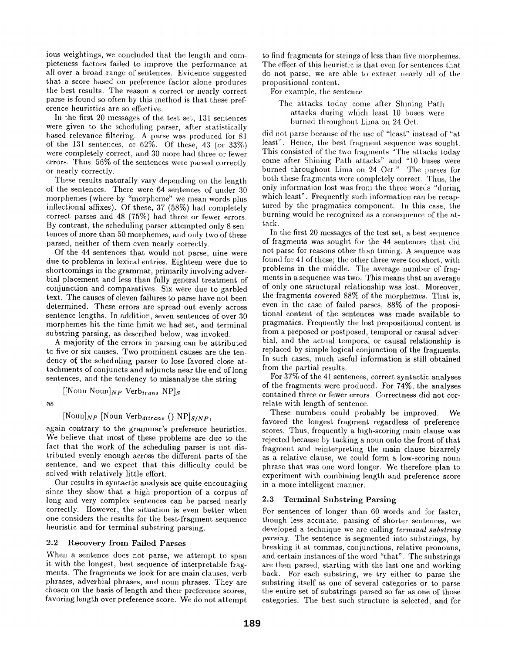ious weightings, we concluded that the length and completeness factors failed to improve the performance at all over a broad range of sentences. Evidence suggested that a score based on preference factor alone produces the best results. The reason a correct or nearly correct parse is found so often by this method is that these preference heuristics are so effective.

In the first 20 messages of the test set, 131 sentences were given to the scheduling parser, after statistically based relevance filtering. A parse was produced for 81 of the 131 sentences, or 62%. Of these, 43 (or  $33\%$ ) were completely correct, and 30 more had three or fewer errors. Thus, 56% of the sentences were parsed correctly or nearly correctly.

These results naturally vary depending on the length of the sentences. There were 64 sentences of under 30 morphemes (where by "morpheme" we mean words plus inflectional affixes). Of these, 37 (58%) had completely correct parses and 48 (75%) had three or fewer errors. By contrast, the scheduling parser attempted only 8 sentences of more than 50 morphemes, and only two of these parsed, neither of them even nearly correctly.

Of the 44 sentences that would not parse, nine were due to problems in lexical entries. Eighteen were due to shortcomings in the grammar, primarily involving adverbial placement and less than fully general treatment of conjunction and comparatives. Six were due to garbled text. The causes of eleven failures to parse have not been determined. These errors are spread out evenly across sentence lengths. In addition, seven sentences of over 30 morphemes hit the time limit we had set, and terminal substring parsing, as described below, was invoked.

A majority of the errors in parsing can be attributed to five or six causes. Two prominent causes are the tendency of the scheduling parser to lose favored close attachments of conjuncts and adjuncts near the end of long sentences, and the tendency to misanalyze the string

[[Noun Noun] $_{NP}$  Verb<sub>trans</sub> NP]<sub>S</sub>

as

 $[Noun]_{NP}$  [Noun *Verb<sub>ditrans</sub>* ()  $NP$ <sub>S/NP</sub>,

again contrary to the grammar's preference heuristics. We believe that most of these problems are due to the fact that the work of the scheduling parser is not distributed evenly enough across the different parts of the sentence, and we expect that this difficulty could be solved with relatively little effort.

Our results in syntactic analysis are quite encouraging since they show that a high proportion of a corpus of long and very complex sentences can be parsed nearly correctly. However, the situation is even better when one considers the results for the best-fragment-sequence heuristic and for terminal substring parsing.

#### 2.2 Recovery from Failed Parses

When a sentence does not parse, we attempt to span it with the longest, best sequence of interpretable fragments. The fragments we look for are main clauses, verh phrases, adverbial phrases, and noun phrases. They are chosen on the basis of length and their preference scores, favoring length over preference score. We do not attempt

to find fragments for strings of less than five morphemes. The effect of this heuristic is that even for sentences that do not parse, we are able to extract nearly all of the propositional content.

For example, the sentence

The attacks today come after Shining Path attacks during which least 10 buses were burned throughout Lima on 24 Oct.

did not parse because of the use of "least" instead of "at. least". Hence, the best fragment sequence was sought. This consisted of the two fragments "The attacks today come after Shining Path attacks" and "10 buses were burned thronghout Lima on 24 Oct." The parses for both these fragments were completely correct. Thus, the only information lost was from the three words "during which least". Frequently such information can be recaptured by the pragmatics component. In this case, the burning would be recognized as a consequence of the attack.

In the first 20 messages of the test set, a best sequence of fragments was sought for the 44 sentences that did not parse for reasons other than timing. A sequence was found for 41 of these; the other three were too short, with problems in the middle. The average number of fragments in a sequence was two. This means that an average of only one structural relationship was lost. Moreover, the fragments covered 88% of the morphemes. That is, even in the case of failed parses, 88% of the propositional content of the sentences was made available to pragmatics. Frequently the lost propositional content is from a preposed or postposed, temporal or causal adverbial, and the actual temporal or causal relationship is replaced by simple logical conjunction of the fragments. In such cases, much useful information is still obtained from the partial results.

For 37% of the 41 sentences, correct syntactic analyses of the fragments were produced. For 74%, the analyses contained three or fewer errors. Correctness did not correlate with length of sentence.

These numbers could probably be improved. We favored the longest fragment regardless of preference scores. Thus, frequently a high-scoring main clause was rejected because by tacking a noun onto the front of that fragment and reinterpreting the main clause bizarrely as a relative clause, we could form a low-scoring noun phrase that was one word longer. We therefore plan to experiment with combining length and preference score in a more intelligent manner.

#### **2.3** Terminal Substring Parsing

For sentences of longer than 60 words and for faster, though less accurate, parsing of shorter sentences, we developed a technique we are calling *lerminal subsiring parsing.* The sentence is segmented into substrings, by breaking it at commas, conjunctions, relative pronouns, and certain instances of the word "that". The substrings are then parsed, starting with the last one and working back. For each substring, we try either to parse the substring itself as one of several categories or to parse the entire set of substrings parsed so far as one of those categories. The best such structure is selected, and for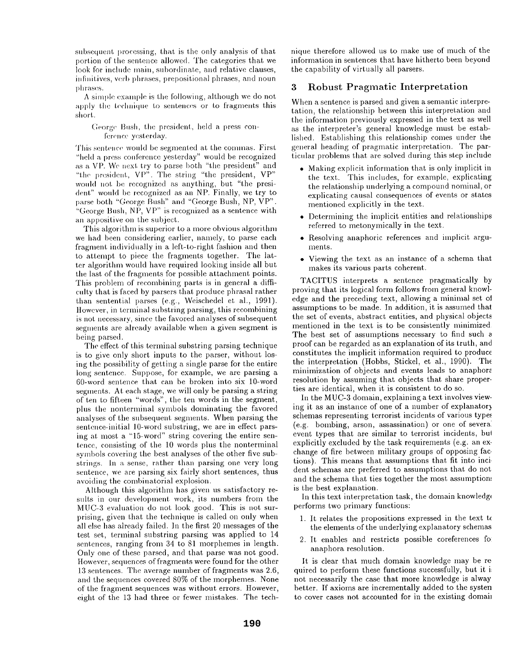subsequent processing, that is the only analysis of that portion of the sentence allowed. The categories that we look for include main, subordinate, and relative clauses, infinitives, verb phrases, prepositional phrases, and noun phrases.

A simple example is the following, although we do not apply the technique to sentences or to fragments this short.

George Bush, the president, held a press conference yesterday.

This sentence would be segmented at the commas. First "held a press conference vesterday" would be recognized as a VP. We next try to parse both "the president" and "the president, VP". The string "the president, VP" would not be recognized as anything, but "the president" would be recognized as an NP. Finally, we try to parse both "George Bush" and "George Bush, NP, VP". "George Bush, NP, VP" is recognized as a sentence with an appositive on the subject.

This algorithm is superior to a more obvious algorithm we had been considering earlier, namely, to parse each fragment individually in a left-to-right fashion and then to attempt to piece the fragments together. The latter algorithm would have required looking inside all but the last of the fragments for possible attachment points. This problem of recombining parts is in general a difficulty that is faced by parsers that produce phrasal rather than sentential parses (e.g., Weischedel et al., 1991). However, in terminal substring parsing, this recombining is not necessary, since the favored analyses of subsequent segments are already available when a given segment is being parsed.

The effect of this terminal substring parsing technique is to give only short inputs to the parser, without losing the possibility of getting a single parse for the entire long sentence. Suppose, for example, we are parsing a 60-word sentence that can be broken into six 10-word segments. At each stage, we will only be parsing a string of ten to fifteen "words", the ten words in the segment, plus the nonterminal symbols dominating the favored analyses of the subsequent segments. When parsing the sentence-initial 10-word substring, we are in effect parsing at most a "IS-word" string covering the entire sentence, consisting of the 10 words plus the nonterminal symbols covering the best analyses of the other five substrings. In a. sense, rather than parsing one very long sentence, we are parsing six fairly short sentences, thus avoiding the combinatorial explosion.

Although this algorithm has given us satisfactory results in our development work, its numbers from the MUC-3 evaluation do not look good. This is not surprising, given that the technique is called on only when all else has already failed. In the first 20 messages of the test set, terminal substring parsing was applied to 14 sentences, ranging from 34 to 81 morphemes in length. Only one of these parsed, and that parse was not good. However, sequences of fragments were found for the other 13 sentences. The average number of fragments was 2.6, and the sequences covered 80% of the morphemes. None of the fragment sequences was without errors. However, eight of the 13 had three or fewer mistakes. The tech-

nique therefore allowed us to make use of much of the information in sentences that have hitherto been beyond the capability of virtually all parsers.

# **3 Robust** Pragmatic Interpretation

When a sentence is parsed and given a semantic interpretation, the relationship between this interpretation and the information previously expressed in the text as well as the interpreter's general knowledge must be established. Establishing this relationship comes under the general heading of pragmatic interpretation. The particular problems that are solved during this step include

- Making explicit information that is only implicit in the text. This includes, for example, explicating the relationship underlying a compound nominal, or explicating causal consequences of events or states mentioned explicitly in the text.
- Determining the implicit entities and relationships referred to metonymically in the text.
- Resolving anaphoric references and implicit argulnents.
- Viewing the text as an instance of a schema that makes its various parts coherent.

TACITUS interprets a sentence pragmatically by proving that its logical form follows from general knowledge and the preceding text, allowing a minimal set of assumptions to be made. In addition, it is assuined that the set of events, abstract entities, and physical objects mentioned in the text is to be consistently minimized The best set of assumptions necessary to find such a proof can be regarded as an explanation of its truth, and constitutes the implicit information required to produce the interpretation (Hobbs, Stickel, et al., 1990). The minimization of objects and events leads to anaphore resolution by assuming that objects that share properties are identical, when it is consistent to do so.

In the MUC-3 domain, explaining a text involves viewing it as an instance of one of a number of explanator) schemas representing terrorist incidents of various type, (e.g. bombing, arson, assassination) or one of severa: event types that are similar to terrorist incidents, bui explicitly excluded by the task requirements (e.g. an exchange of fire between military groups of opposing factions). This means that assumptions that fit into inci. dent schemas are preferred to assumptions that do not and the schema that ties together the most assumptions is the best explanation.

In this text interpretation task, the domain knowledge performs two primary functions:

- 1. It relates the propositions expressed in the text t< the elements of the underlying explanatory schemas
- 2. It enables and restricts possible coreferences fo: anaphora resolution.

It is clear that nmch domain knowledge may be re quired to perform these functions successfully, but it i not necessarily the case that more knowledge is alway better. If axioms are incrementally added to the systen to cover cases not accounted for in the existing domain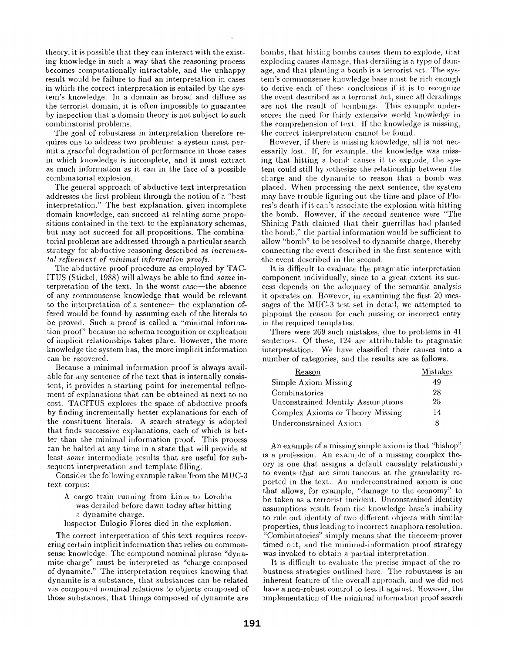theory, it is possible that they can interact with the existing knowledge in such a way that the reasoning process becomes computationally intractable, and the unhappy result would be failure to find an interpretation in cases in which the correct interpretation is entailed by the system's knowledge. In a. domain as broad and diffuse as the terrorist domain, it is often impossible to guarantee by inspection that a domain theory is not subject to such combinatorial problems.

The goal of robustness in interpretation therefore requires one to address two problems: a system must permit a graceful degradation of performance in those cases in which knowledge is incomplete, and it must extract as much information as it can in the face of a possible combinatorial explosion.

The general approach of abductive text interpretation addresses the first problem through the notion of a "best interpretation." The best explanation, given incomplete domain knowledge, can succeed at relating some propositions contained in the text to the explanatory schemas, but may not succeed for all propositions. The combinatorial problems are addressed through a particular search strategy for abductive reasoning described as *incremental refinement of minimal.informalion proofs.* 

The abductive proof procedure as employed by TAC-ITUS (Stickel, 1988) will always be able to find *some* interpretation of the text. In the worst case—the absence of any commonseuse knowledge that would be relevant to the interpretation of a sentence--the explanation offered would be found by assuming each of the literals to be proved. Such a proof is called a "minimal information proof" because no schema recognition or explication of implicit relationships takes place. However, the more knowledge the system has, the more implicit information can be recovered.

Because a minimal information proof is always available for any sentence of the text that is internally consistent, it provides a starting point for incremental refinement of explanations that can be obtained at next to no cost. TACITUS explores the space of abductive proofs by finding incrementally better explanations for each of the constituent literals. A search strategy is adopted that finds successive explanations, each of which is better than the minimal information proof. This process can be halted at any time in a state that will provide at least *some* intermediate results that are useful for subsequent interpretation and template filling.

Consider the following example taken from the MUC-3 text corpus:

- A cargo train running from Lima to Lorohia was derailed before dawn today after hitting a dynamite charge.
- Inspector Eulogio Flores died in the explosion.

The correct interpretation of this text requires recovering certain implicit information that relies on commonsense knowledge. The compound nominal phrase "dynamite charge" nmst be interpreted as "charge composed of dynamite." The interpretation requires knowing that dynamite is a substance, that substances can be related via compound nominal relations to objects composed of those substances, that things composed of dynamite are

bombs, that hitting bombs causes them to explode, that exploding causes damage, that derailing is a type of damage, and that planting a bomb is a terrorist act. The system's commonsense knowledge base must be rich enough to derive each of these conclusions if it is to recognize the event described as a terrorist act, since all derailings are not the result of bombings. This example underscores the need for fairly extensive world knowledge in the comprehension of text. If the knowledge is missing, the correct interpretation cannot be found.

However, if there is missing knowledge, all is not necessarily lost. If, for example, the knowledge was missing that hitting a bomb causes it to explode, the system could still hypothesize the relationship between the charge and the dynamite to reason that a bomb was placed. When processing the next sentence, the system may have trouble figuring out the time and place of Flores's death if it can't associate the explosion with hitting the bomb. However, if the second sentence were "The Shining Path claimed that their guerrillas had planted the bomb," the partial information would be sufficient to allow "bomb" to be resolved to dynamite charge, thereby connecting the event described in the first sentence with the event described in the second.

It is difficult to evaluate the pragmatic interpretation component individually, since to a great extent its success depends on the adequacy of the semantic analysis it operates on. However, in examining the first 20 messages of the MUC-3 test set in detail, we attempted to pinpoint the reason for each missing or incorrect entry in the required templates.

There were 269 such mistakes, due to problems in 41 sentences. Of these, 124 are attributable to pragmatic interpretation. We have classified their causes into a number of categories, and the results are as follows.

| Reason                             | Mistakes |
|------------------------------------|----------|
| Simple Axiom Missing               | 49       |
| Combinatorics                      | 28       |
| Unconstrained Identity Assumptions | 25       |
| Complex Axioms or Theory Missing   | 14       |
| Underconstrained Axiom             | 8        |

An example of a missing simple axiom is that "bishop" is a profession. An example of a missing complex theory is one that assigns a default causality relationship to events that are simultaneous at the granularity reported in the text. An underconstrained axiom is one that allows, for example, "damage to the economy" to be taken as a terrorist incident. Unconstrained identity assumptions result from the knowledge base's inability to rule out identity of two different objects with similar properties, thus leading to incorrect anaphora resolution. "Combinatorics" simply means that the theorem-prover timed out, and the minimal-information proof strategy was invoked to obtain a partial interpretation.

It is difficult to evaluate the precise impact of the robustness strategies outlined here. The robustness is an inherent feature of the overall approach, and we did not have a non-robust control to test it against. However, the implementation of the minimal information proof search